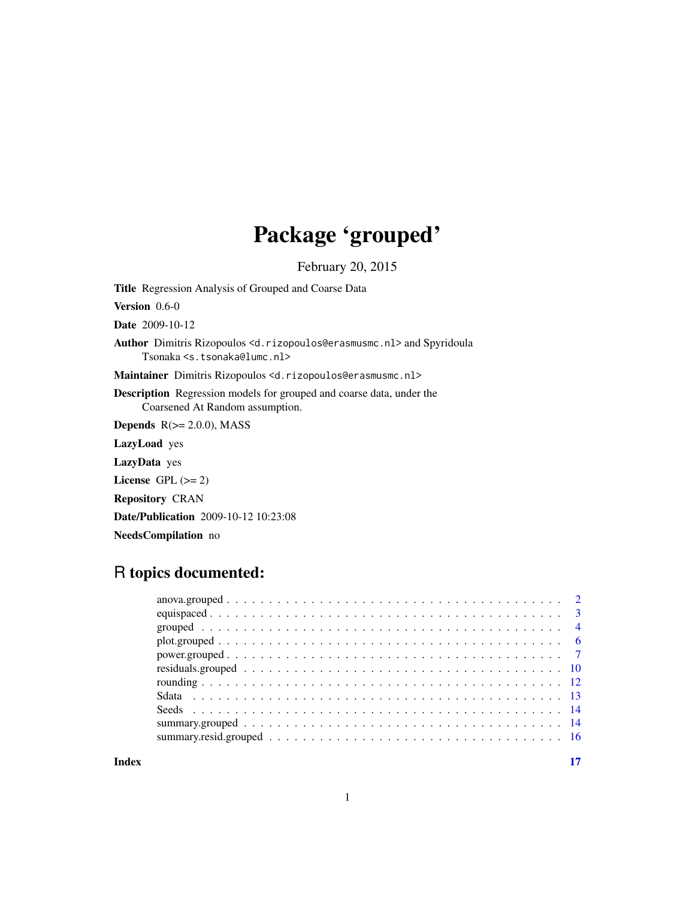## Package 'grouped'

February 20, 2015

<span id="page-0-0"></span>Title Regression Analysis of Grouped and Coarse Data

Version 0.6-0

Date 2009-10-12

Author Dimitris Rizopoulos <d.rizopoulos@erasmusmc.nl> and Spyridoula Tsonaka <s.tsonaka@lumc.nl>

Maintainer Dimitris Rizopoulos <d.rizopoulos@erasmusmc.nl>

Description Regression models for grouped and coarse data, under the Coarsened At Random assumption.

Depends  $R(>= 2.0.0)$ , MASS

LazyLoad yes

LazyData yes

License GPL  $(>= 2)$ 

Repository CRAN

Date/Publication 2009-10-12 10:23:08

NeedsCompilation no

## R topics documented:

**Index** [17](#page-16-0)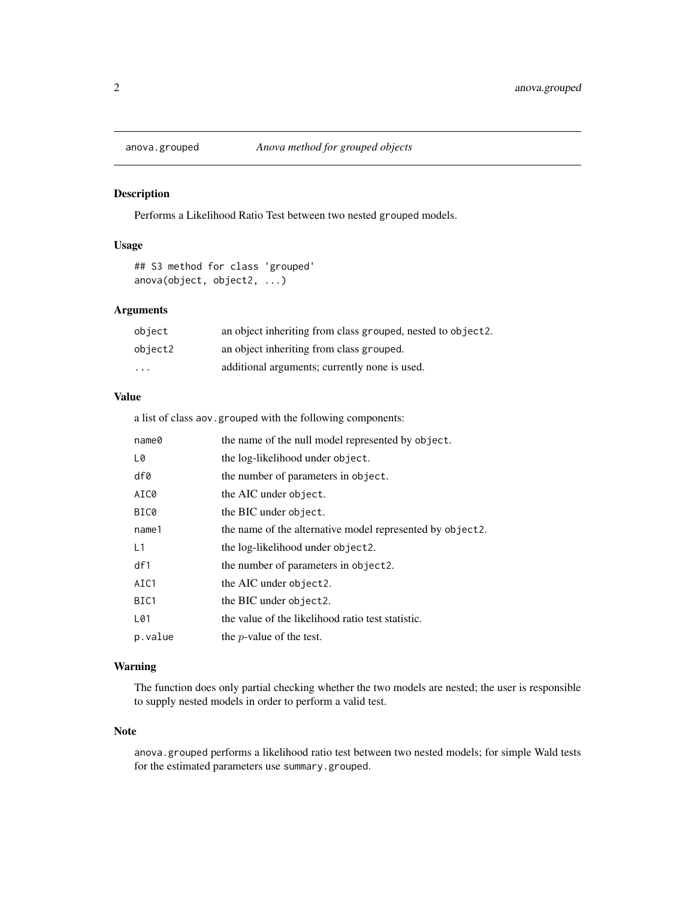<span id="page-1-1"></span><span id="page-1-0"></span>

Performs a Likelihood Ratio Test between two nested grouped models.

## Usage

## S3 method for class 'grouped' anova(object, object2, ...)

## Arguments

| object  | an object inheriting from class grouped, nested to object2. |
|---------|-------------------------------------------------------------|
| object2 | an object inheriting from class grouped.                    |
| $\cdot$ | additional arguments; currently none is used.               |

## Value

a list of class aov.grouped with the following components:

| name@   | the name of the null model represented by object.         |
|---------|-----------------------------------------------------------|
| L0      | the log-likelihood under object.                          |
| df0     | the number of parameters in object.                       |
| AIC0    | the AIC under object.                                     |
| BIC0    | the BIC under object.                                     |
| name1   | the name of the alternative model represented by object2. |
| L1      | the log-likelihood under object2.                         |
| df1     | the number of parameters in object2.                      |
| AIC1    | the AIC under object2.                                    |
| BIC1    | the BIC under object2.                                    |
| L01     | the value of the likelihood ratio test statistic.         |
| p.value | the <i>p</i> -value of the test.                          |

## Warning

The function does only partial checking whether the two models are nested; the user is responsible to supply nested models in order to perform a valid test.

## Note

anova.grouped performs a likelihood ratio test between two nested models; for simple Wald tests for the estimated parameters use summary.grouped.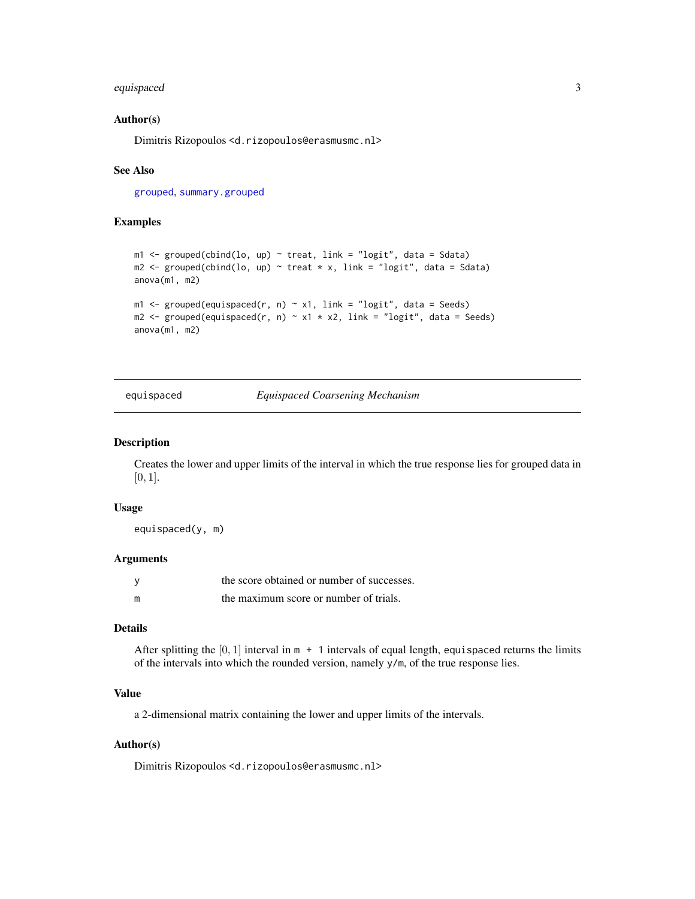## <span id="page-2-0"></span>equispaced 3

#### Author(s)

Dimitris Rizopoulos <d.rizopoulos@erasmusmc.nl>

#### See Also

[grouped](#page-3-1), [summary.grouped](#page-13-1)

#### Examples

```
m1 \leq grouped(cbind(lo, up) \sim treat, link = "logit", data = Sdata)
m2 \le grouped(cbind(lo, up) \sim treat * x, link = "logit", data = Sdata)
anova(m1, m2)
m1 < - grouped(equispaced(r, n) \sim x1, link = "logit", data = Seeds)
m2 \leq grouped(equispaced(r, n) \sim x1 \times x2, link = "logit", data = Seeds)
anova(m1, m2)
```
<span id="page-2-1"></span>equispaced *Equispaced Coarsening Mechanism*

#### Description

Creates the lower and upper limits of the interval in which the true response lies for grouped data in  $[0, 1]$ .

#### Usage

equispaced(y, m)

#### Arguments

|   | the score obtained or number of successes. |
|---|--------------------------------------------|
| m | the maximum score or number of trials.     |

#### Details

After splitting the  $[0, 1]$  interval in  $m + 1$  intervals of equal length, equispaced returns the limits of the intervals into which the rounded version, namely y/m, of the true response lies.

## Value

a 2-dimensional matrix containing the lower and upper limits of the intervals.

#### Author(s)

Dimitris Rizopoulos <d.rizopoulos@erasmusmc.nl>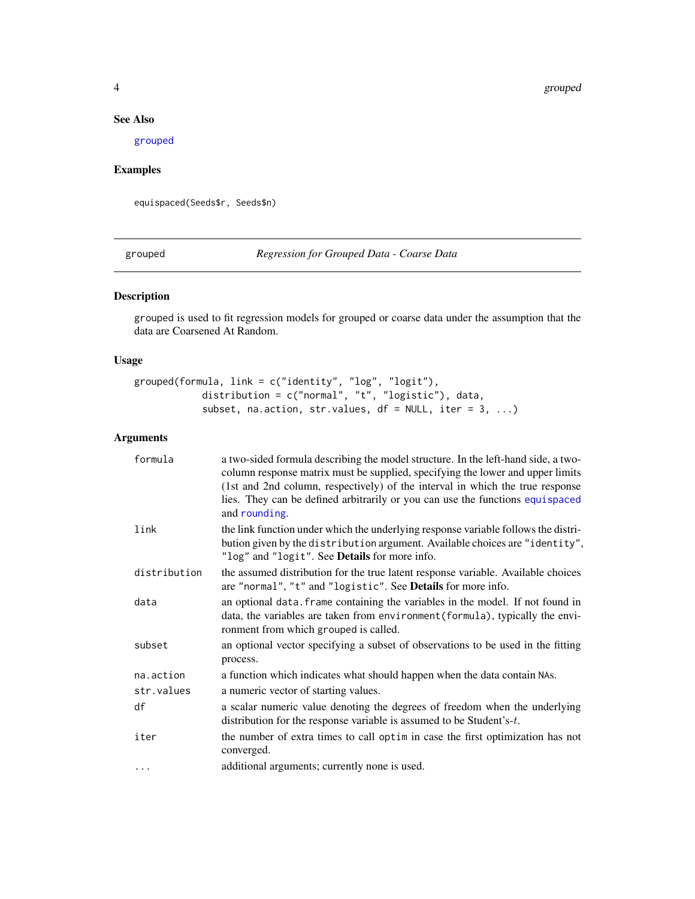## <span id="page-3-0"></span>See Also

[grouped](#page-3-1)

## Examples

equispaced(Seeds\$r, Seeds\$n)

<span id="page-3-1"></span>grouped *Regression for Grouped Data - Coarse Data*

## Description

grouped is used to fit regression models for grouped or coarse data under the assumption that the data are Coarsened At Random.

## Usage

```
grouped(formula, link = c("identity", "log", "logit"),
            distribution = c("normal", "t", "logistic"), data,
            subset, na.action, str.values, df = NULL, iter = 3, ...)
```
## Arguments

| formula      | a two-sided formula describing the model structure. In the left-hand side, a two-<br>column response matrix must be supplied, specifying the lower and upper limits                                                 |
|--------------|---------------------------------------------------------------------------------------------------------------------------------------------------------------------------------------------------------------------|
|              | (1st and 2nd column, respectively) of the interval in which the true response<br>lies. They can be defined arbitrarily or you can use the functions equispaced<br>and rounding.                                     |
| link         | the link function under which the underlying response variable follows the distri-<br>bution given by the distribution argument. Available choices are "identity",<br>"log" and "logit". See Details for more info. |
| distribution | the assumed distribution for the true latent response variable. Available choices<br>are "normal", "t" and "logistic". See Details for more info.                                                                   |
| data         | an optional data. frame containing the variables in the model. If not found in<br>data, the variables are taken from environment (formula), typically the envi-<br>ronment from which grouped is called.            |
| subset       | an optional vector specifying a subset of observations to be used in the fitting<br>process.                                                                                                                        |
| na.action    | a function which indicates what should happen when the data contain NAs.                                                                                                                                            |
| str.values   | a numeric vector of starting values.                                                                                                                                                                                |
| df           | a scalar numeric value denoting the degrees of freedom when the underlying<br>distribution for the response variable is assumed to be Student's-t.                                                                  |
| iter         | the number of extra times to call optim in case the first optimization has not<br>converged.                                                                                                                        |
| $\cdots$     | additional arguments; currently none is used.                                                                                                                                                                       |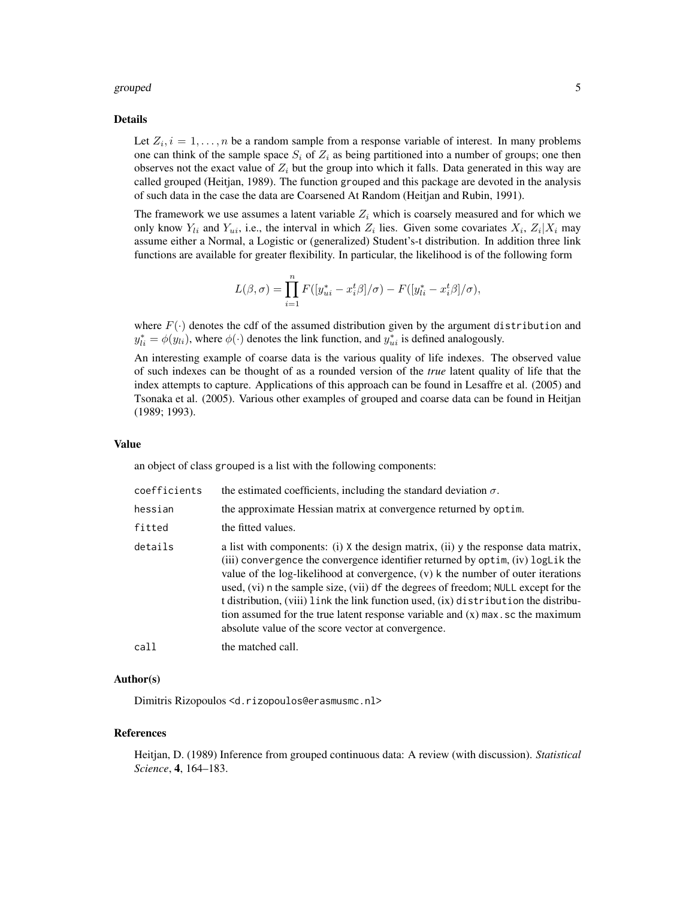#### grouped 5

#### Details

Let  $Z_i$ ,  $i = 1, \ldots, n$  be a random sample from a response variable of interest. In many problems one can think of the sample space  $S_i$  of  $Z_i$  as being partitioned into a number of groups; one then observes not the exact value of  $Z_i$  but the group into which it falls. Data generated in this way are called grouped (Heitjan, 1989). The function grouped and this package are devoted in the analysis of such data in the case the data are Coarsened At Random (Heitjan and Rubin, 1991).

The framework we use assumes a latent variable  $Z_i$  which is coarsely measured and for which we only know  $Y_{li}$  and  $Y_{ui}$ , i.e., the interval in which  $Z_i$  lies. Given some covariates  $X_i$ ,  $Z_i|X_i$  may assume either a Normal, a Logistic or (generalized) Student's-t distribution. In addition three link functions are available for greater flexibility. In particular, the likelihood is of the following form

$$
L(\beta,\sigma)=\prod_{i=1}^n F([y^*_{ui}-x^t_i\beta]/\sigma)-F([y^*_{li}-x^t_i\beta]/\sigma),
$$

where  $F(\cdot)$  denotes the cdf of the assumed distribution given by the argument distribution and  $y_{li}^* = \phi(y_{li}),$  where  $\phi(\cdot)$  denotes the link function, and  $y_{ui}^*$  is defined analogously.

An interesting example of coarse data is the various quality of life indexes. The observed value of such indexes can be thought of as a rounded version of the *true* latent quality of life that the index attempts to capture. Applications of this approach can be found in Lesaffre et al. (2005) and Tsonaka et al. (2005). Various other examples of grouped and coarse data can be found in Heitjan (1989; 1993).

## Value

an object of class grouped is a list with the following components:

| coefficients | the estimated coefficients, including the standard deviation $\sigma$ .                                                                                                                                                                                                                                                                                                                                                                                                                                                                                                           |
|--------------|-----------------------------------------------------------------------------------------------------------------------------------------------------------------------------------------------------------------------------------------------------------------------------------------------------------------------------------------------------------------------------------------------------------------------------------------------------------------------------------------------------------------------------------------------------------------------------------|
| hessian      | the approximate Hessian matrix at convergence returned by optim.                                                                                                                                                                                                                                                                                                                                                                                                                                                                                                                  |
| fitted       | the fitted values.                                                                                                                                                                                                                                                                                                                                                                                                                                                                                                                                                                |
| details      | a list with components: (i) X the design matrix, (ii) y the response data matrix,<br>(iii) convergence the convergence identifier returned by optim, (iv) logLik the<br>value of the log-likelihood at convergence, $(v)$ k the number of outer iterations<br>used, (vi) n the sample size, (vii) df the degrees of freedom; NULL except for the<br>t distribution, (viii) link the link function used, (ix) distribution the distribu-<br>tion assumed for the true latent response variable and $(x)$ max. sc the maximum<br>absolute value of the score vector at convergence. |
| call         | the matched call.                                                                                                                                                                                                                                                                                                                                                                                                                                                                                                                                                                 |

## Author(s)

Dimitris Rizopoulos <d.rizopoulos@erasmusmc.nl>

#### References

Heitjan, D. (1989) Inference from grouped continuous data: A review (with discussion). *Statistical Science*, 4, 164–183.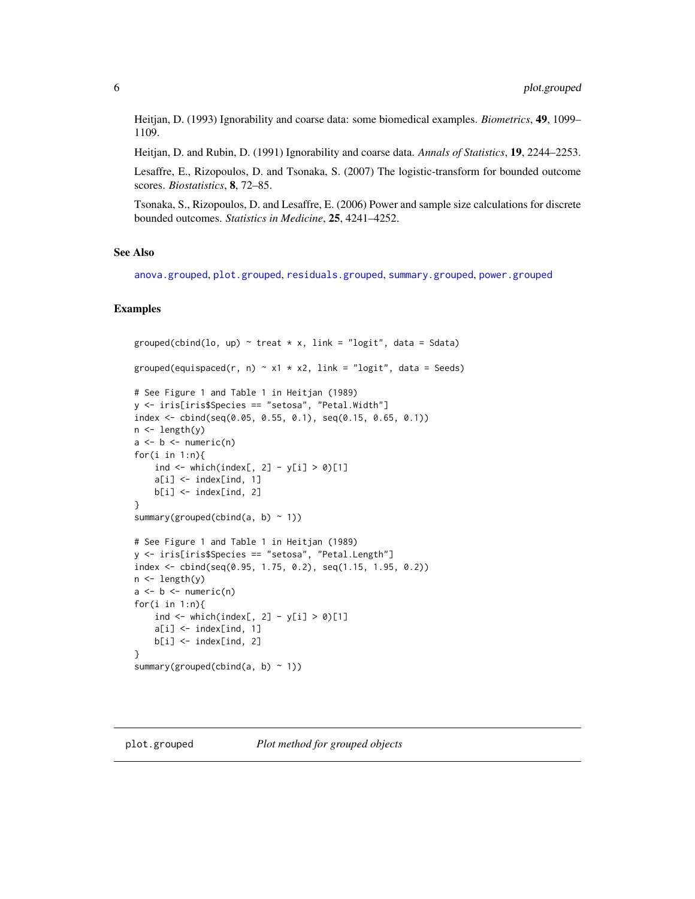<span id="page-5-0"></span>Heitjan, D. (1993) Ignorability and coarse data: some biomedical examples. *Biometrics*, 49, 1099– 1109.

Heitjan, D. and Rubin, D. (1991) Ignorability and coarse data. *Annals of Statistics*, 19, 2244–2253.

Lesaffre, E., Rizopoulos, D. and Tsonaka, S. (2007) The logistic-transform for bounded outcome scores. *Biostatistics*, 8, 72–85.

Tsonaka, S., Rizopoulos, D. and Lesaffre, E. (2006) Power and sample size calculations for discrete bounded outcomes. *Statistics in Medicine*, 25, 4241–4252.

#### See Also

[anova.grouped](#page-1-1), [plot.grouped](#page-5-1), [residuals.grouped](#page-9-1), [summary.grouped](#page-13-1), [power.grouped](#page-6-1)

```
grouped(cbind(lo, up) \sim treat * x, link = "logit", data = Sdata)
grouped(equispaced(r, n) \sim x1 \times x2, link = "logit", data = Seeds)
# See Figure 1 and Table 1 in Heitjan (1989)
y <- iris[iris$Species == "setosa", "Petal.Width"]
index <- cbind(seq(0.05, 0.55, 0.1), seq(0.15, 0.65, 0.1))
n <- length(y)
a \leftarrow b \leftarrow numeric(n)for(i in 1:n){
    ind \le which(index[, 2] - y[i] > 0)[1]
    a[i] <- index[ind, 1]
    b[i] <- index[ind, 2]
}
summary(grouped(cbind(a, b) \sim 1))
# See Figure 1 and Table 1 in Heitjan (1989)
y <- iris[iris$Species == "setosa", "Petal.Length"]
index <- cbind(seq(0.95, 1.75, 0.2), seq(1.15, 1.95, 0.2))
n <- length(y)
a \leftarrow b \leftarrow numeric(n)for(i in 1:n){
    ind \le which(index[, 2] - y[i] > 0)[1]
    a[i] <- index[ind, 1]
    b[i] <- index[ind, 2]
}
summary(grouped(cbind(a, b) \sim 1))
```
<span id="page-5-1"></span>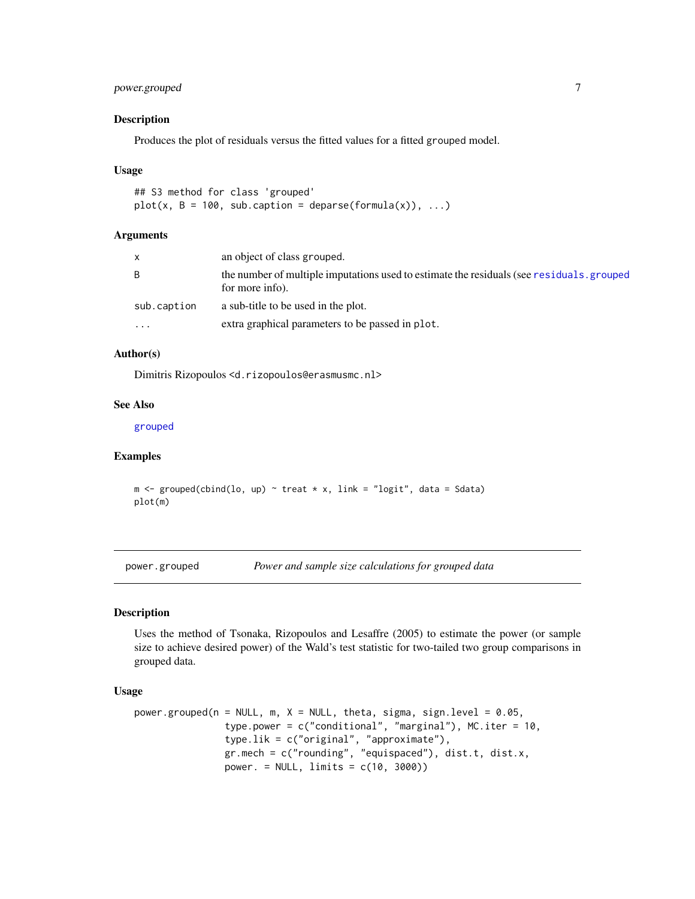## <span id="page-6-0"></span>power.grouped 7

#### Description

Produces the plot of residuals versus the fitted values for a fitted grouped model.

#### Usage

```
## S3 method for class 'grouped'
plot(x, B = 100, sub.caption = deparse(formula(x)), ...)
```
#### Arguments

| x           | an object of class grouped.                                                                                  |
|-------------|--------------------------------------------------------------------------------------------------------------|
| B           | the number of multiple imputations used to estimate the residuals (see residuals, grouped<br>for more info). |
| sub.caption | a sub-title to be used in the plot.                                                                          |
| $\ddotsc$   | extra graphical parameters to be passed in plot.                                                             |

#### Author(s)

Dimitris Rizopoulos <d.rizopoulos@erasmusmc.nl>

## See Also

[grouped](#page-3-1)

## Examples

 $m \leq -$  grouped(cbind(lo, up)  $\sim$  treat  $*$  x, link = "logit", data = Sdata) plot(m)

<span id="page-6-1"></span>power.grouped *Power and sample size calculations for grouped data*

## Description

Uses the method of Tsonaka, Rizopoulos and Lesaffre (2005) to estimate the power (or sample size to achieve desired power) of the Wald's test statistic for two-tailed two group comparisons in grouped data.

#### Usage

```
power.grouped(n = NULL, m, X = NULL, theta, sigma, sign.level = 0.05,
                type.power = c("conditional", "marginal"), MC.iter = 10,
                type.lik = c("original", "approximate"),
                gr.mech = c("rounding", "equispaced"), dist.t, dist.x,
                power. = NULL, limits = c(10, 3000))
```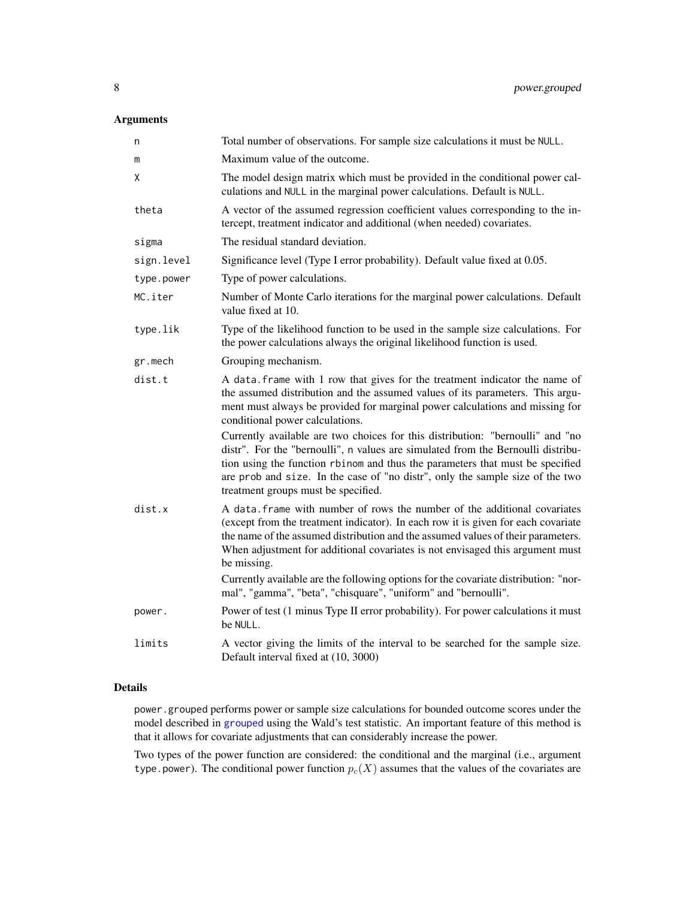## Arguments

| n          | Total number of observations. For sample size calculations it must be NULL.                                                                                                                                                                                                                                                                                                 |
|------------|-----------------------------------------------------------------------------------------------------------------------------------------------------------------------------------------------------------------------------------------------------------------------------------------------------------------------------------------------------------------------------|
| m          | Maximum value of the outcome.                                                                                                                                                                                                                                                                                                                                               |
| Χ          | The model design matrix which must be provided in the conditional power cal-<br>culations and NULL in the marginal power calculations. Default is NULL.                                                                                                                                                                                                                     |
| theta      | A vector of the assumed regression coefficient values corresponding to the in-<br>tercept, treatment indicator and additional (when needed) covariates.                                                                                                                                                                                                                     |
| sigma      | The residual standard deviation.                                                                                                                                                                                                                                                                                                                                            |
| sign.level | Significance level (Type I error probability). Default value fixed at 0.05.                                                                                                                                                                                                                                                                                                 |
| type.power | Type of power calculations.                                                                                                                                                                                                                                                                                                                                                 |
| MC.iter    | Number of Monte Carlo iterations for the marginal power calculations. Default<br>value fixed at 10.                                                                                                                                                                                                                                                                         |
| type.lik   | Type of the likelihood function to be used in the sample size calculations. For<br>the power calculations always the original likelihood function is used.                                                                                                                                                                                                                  |
| gr.mech    | Grouping mechanism.                                                                                                                                                                                                                                                                                                                                                         |
| dist.t     | A data. frame with 1 row that gives for the treatment indicator the name of<br>the assumed distribution and the assumed values of its parameters. This argu-<br>ment must always be provided for marginal power calculations and missing for<br>conditional power calculations.                                                                                             |
|            | Currently available are two choices for this distribution: "bernoulli" and "no<br>distr". For the "bernoulli", n values are simulated from the Bernoulli distribu-<br>tion using the function rbinom and thus the parameters that must be specified<br>are prob and size. In the case of "no distr", only the sample size of the two<br>treatment groups must be specified. |
| dist.x     | A data. frame with number of rows the number of the additional covariates<br>(except from the treatment indicator). In each row it is given for each covariate<br>the name of the assumed distribution and the assumed values of their parameters.<br>When adjustment for additional covariates is not envisaged this argument must<br>be missing.                          |
|            | Currently available are the following options for the covariate distribution: "nor-<br>mal", "gamma", "beta", "chisquare", "uniform" and "bernoulli".                                                                                                                                                                                                                       |
| power.     | Power of test (1 minus Type II error probability). For power calculations it must<br>be NULL.                                                                                                                                                                                                                                                                               |
| limits     | A vector giving the limits of the interval to be searched for the sample size.<br>Default interval fixed at (10, 3000)                                                                                                                                                                                                                                                      |

## Details

power.grouped performs power or sample size calculations for bounded outcome scores under the model described in [grouped](#page-3-1) using the Wald's test statistic. An important feature of this method is that it allows for covariate adjustments that can considerably increase the power.

Two types of the power function are considered: the conditional and the marginal (i.e., argument type.power). The conditional power function  $p_c(X)$  assumes that the values of the covariates are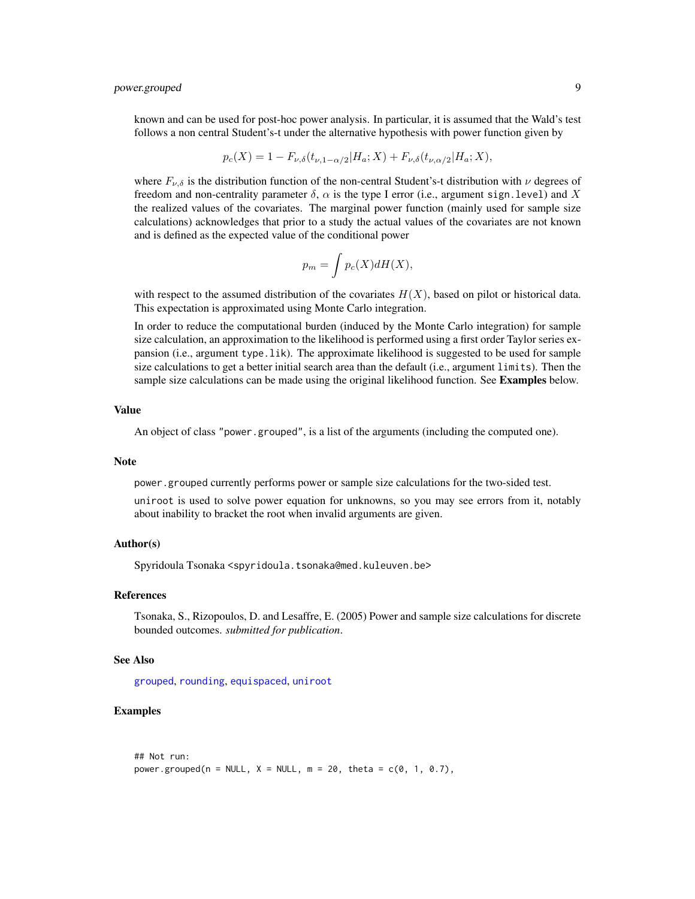<span id="page-8-0"></span>known and can be used for post-hoc power analysis. In particular, it is assumed that the Wald's test follows a non central Student's-t under the alternative hypothesis with power function given by

$$
p_c(X) = 1 - F_{\nu, \delta}(t_{\nu, 1 - \alpha/2} | H_a; X) + F_{\nu, \delta}(t_{\nu, \alpha/2} | H_a; X),
$$

where  $F_{\nu,\delta}$  is the distribution function of the non-central Student's-t distribution with  $\nu$  degrees of freedom and non-centrality parameter  $\delta$ ,  $\alpha$  is the type I error (i.e., argument sign.level) and X the realized values of the covariates. The marginal power function (mainly used for sample size calculations) acknowledges that prior to a study the actual values of the covariates are not known and is defined as the expected value of the conditional power

$$
p_m = \int p_c(X)dH(X),
$$

with respect to the assumed distribution of the covariates  $H(X)$ , based on pilot or historical data. This expectation is approximated using Monte Carlo integration.

In order to reduce the computational burden (induced by the Monte Carlo integration) for sample size calculation, an approximation to the likelihood is performed using a first order Taylor series expansion (i.e., argument type.lik). The approximate likelihood is suggested to be used for sample size calculations to get a better initial search area than the default (i.e., argument limits). Then the sample size calculations can be made using the original likelihood function. See Examples below.

#### Value

An object of class "power.grouped", is a list of the arguments (including the computed one).

#### **Note**

power.grouped currently performs power or sample size calculations for the two-sided test.

uniroot is used to solve power equation for unknowns, so you may see errors from it, notably about inability to bracket the root when invalid arguments are given.

#### Author(s)

Spyridoula Tsonaka <spyridoula.tsonaka@med.kuleuven.be>

#### References

Tsonaka, S., Rizopoulos, D. and Lesaffre, E. (2005) Power and sample size calculations for discrete bounded outcomes. *submitted for publication*.

#### See Also

[grouped](#page-3-1), [rounding](#page-11-1), [equispaced](#page-2-1), [uniroot](#page-0-0)

```
## Not run:
power.grouped(n = NULL, X = NULL, m = 20, theta = c(0, 1, 0.7),
```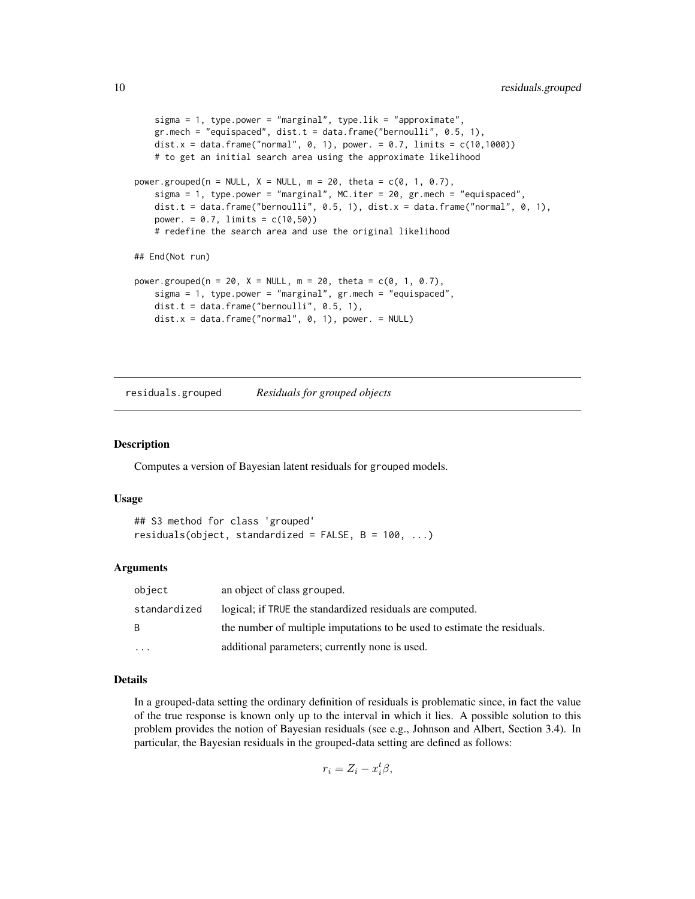```
sigma = 1, type.power = "marginal", type.lik = "approximate",
    gr.mech = "equispaced", dist.t = data.frame("bernoulli", 0.5, 1),
   dist.x = data.frame("normal", 0, 1), power. = 0.7, limits = c(10,1000))
   # to get an initial search area using the approximate likelihood
power.grouped(n = NULL, X = NULL, m = 20, theta = c(0, 1, 0.7),
    sigma = 1, type.power = "marginal", MC.iter = 20, gr.mech = "equispaced",
   dist.t = data.frame("bernoulli", 0.5, 1), dist.x = data.frame("normal", 0, 1),
   power. = 0.7, limits = c(10, 50))
   # redefine the search area and use the original likelihood
## End(Not run)
power.grouped(n = 20, X = NULL, m = 20, theta = c(0, 1, 0.7),
    sigma = 1, type.power = "marginal", gr.mech = "equispaced",
   dist.t = data.frame("bernoulli", 0.5, 1),
   dist.x = data. frame("normal", 0, 1), power. = NULL)
```
<span id="page-9-1"></span>residuals.grouped *Residuals for grouped objects*

#### Description

Computes a version of Bayesian latent residuals for grouped models.

#### Usage

```
## S3 method for class 'grouped'
residuals(object, standardized = FALSE, B = 100, ...)
```
#### Arguments

| object       | an object of class grouped.                                              |
|--------------|--------------------------------------------------------------------------|
| standardized | logical; if TRUE the standardized residuals are computed.                |
| B.           | the number of multiple imputations to be used to estimate the residuals. |
| $\cdots$     | additional parameters; currently none is used.                           |

## Details

In a grouped-data setting the ordinary definition of residuals is problematic since, in fact the value of the true response is known only up to the interval in which it lies. A possible solution to this problem provides the notion of Bayesian residuals (see e.g., Johnson and Albert, Section 3.4). In particular, the Bayesian residuals in the grouped-data setting are defined as follows:

$$
r_i = Z_i - x_i^t \beta,
$$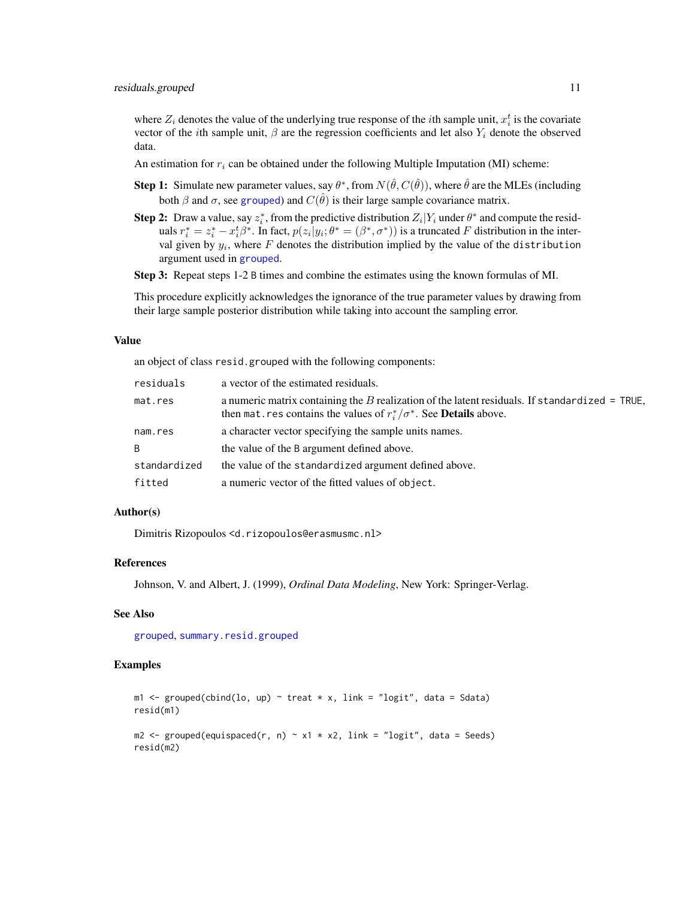<span id="page-10-0"></span>where  $Z_i$  denotes the value of the underlying true response of the *i*th sample unit,  $x_i^t$  is the covariate vector of the *i*th sample unit,  $\beta$  are the regression coefficients and let also  $Y_i$  denote the observed data.

An estimation for  $r_i$  can be obtained under the following Multiple Imputation (MI) scheme:

- **Step 1:** Simulate new parameter values, say  $\theta^*$ , from  $N(\hat{\theta}, C(\hat{\theta}))$ , where  $\hat{\theta}$  are the MLEs (including both  $\beta$  and  $\sigma$ , see [grouped](#page-3-1)) and  $C(\hat{\theta})$  is their large sample covariance matrix.
- **Step 2:** Draw a value, say  $z_i^*$ , from the predictive distribution  $Z_i|Y_i$  under  $\theta^*$  and compute the residuals  $r_i^* = z_i^* - x_i^t \beta^*$ . In fact,  $p(z_i|y_i; \theta^* = (\beta^*, \sigma^*))$  is a truncated F distribution in the interval given by  $y_i$ , where F denotes the distribution implied by the value of the distribution argument used in [grouped](#page-3-1).

Step 3: Repeat steps 1-2 B times and combine the estimates using the known formulas of MI.

This procedure explicitly acknowledges the ignorance of the true parameter values by drawing from their large sample posterior distribution while taking into account the sampling error.

#### Value

an object of class resid.grouped with the following components:

| residuals    | a vector of the estimated residuals.                                                                                                                                               |
|--------------|------------------------------------------------------------------------------------------------------------------------------------------------------------------------------------|
| mat.res      | a numeric matrix containing the B realization of the latent residuals. If standardized = TRUE,<br>then mat res contains the values of $r_i^*/\sigma^*$ . See <b>Details</b> above. |
| nam.res      | a character vector specifying the sample units names.                                                                                                                              |
| B.           | the value of the B argument defined above.                                                                                                                                         |
| standardized | the value of the standardized argument defined above.                                                                                                                              |
| fitted       | a numeric vector of the fitted values of object.                                                                                                                                   |

## Author(s)

Dimitris Rizopoulos <d.rizopoulos@erasmusmc.nl>

#### References

Johnson, V. and Albert, J. (1999), *Ordinal Data Modeling*, New York: Springer-Verlag.

#### See Also

[grouped](#page-3-1), [summary.resid.grouped](#page-15-1)

```
m1 <- grouped(cbind(lo, up) ~ treat * x, link = "logit", data = Sdata)
resid(m1)
m2 \leq grouped(equispaced(r, n) \sim x1 \times x2, link = "logit", data = Seeds)
resid(m2)
```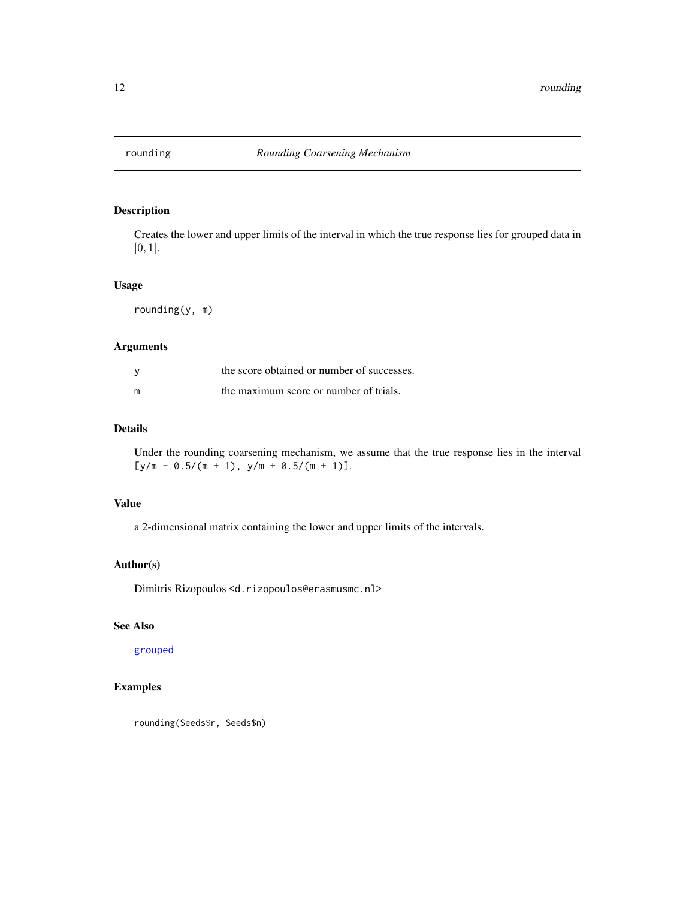<span id="page-11-1"></span><span id="page-11-0"></span>

Creates the lower and upper limits of the interval in which the true response lies for grouped data in [0, 1].

## Usage

rounding(y, m)

#### Arguments

| <b>V</b> | the score obtained or number of successes. |
|----------|--------------------------------------------|
| m        | the maximum score or number of trials.     |

## Details

Under the rounding coarsening mechanism, we assume that the true response lies in the interval  $[y/m - 0.5/(m + 1), y/m + 0.5/(m + 1)].$ 

## Value

a 2-dimensional matrix containing the lower and upper limits of the intervals.

## Author(s)

Dimitris Rizopoulos <d.rizopoulos@erasmusmc.nl>

## See Also

[grouped](#page-3-1)

## Examples

rounding(Seeds\$r, Seeds\$n)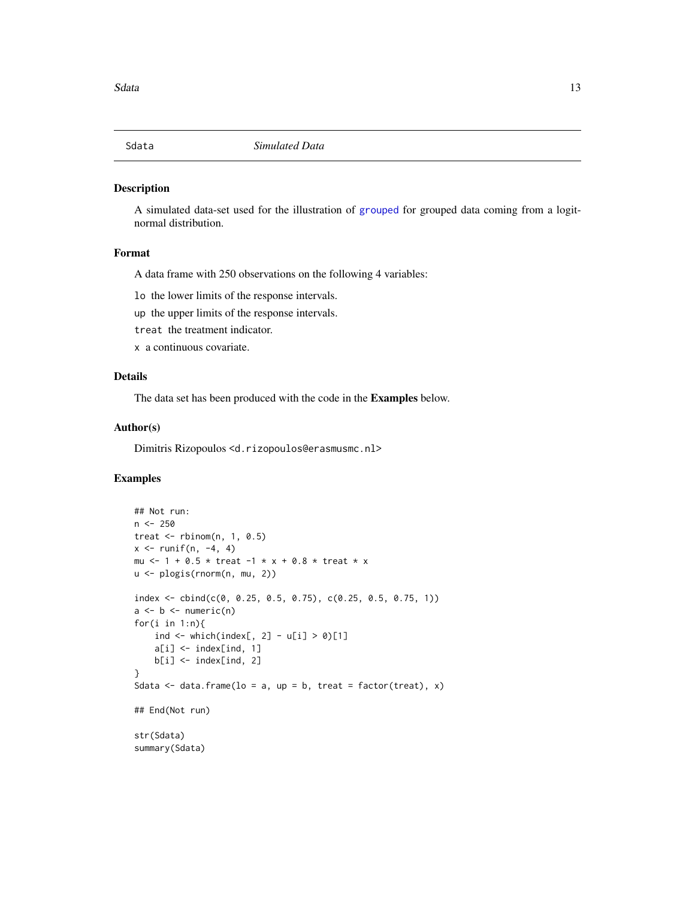<span id="page-12-0"></span>

A simulated data-set used for the illustration of [grouped](#page-3-1) for grouped data coming from a logitnormal distribution.

## Format

A data frame with 250 observations on the following 4 variables:

lo the lower limits of the response intervals.

up the upper limits of the response intervals.

treat the treatment indicator.

x a continuous covariate.

#### Details

The data set has been produced with the code in the Examples below.

#### Author(s)

Dimitris Rizopoulos <d.rizopoulos@erasmusmc.nl>

```
## Not run:
n <- 250
treat \leq rbinom(n, 1, 0.5)
x \le runif(n, -4, 4)
mu <- 1 + 0.5 * treat -1 * x + 0.8 * treat * x
u <- plogis(rnorm(n, mu, 2))
index < - child(c(0, 0.25, 0.5, 0.75), c(0.25, 0.5, 0.75, 1))a \leftarrow b \leftarrow numeric(n)for(i in 1:n){
    ind \le which(index[, 2] - u[i] > 0)[1]
    a[i] <- index[ind, 1]
    b[i] <- index[ind, 2]
}
Sdata \leq data.frame(lo = a, up = b, treat = factor(treat), x)
## End(Not run)
str(Sdata)
summary(Sdata)
```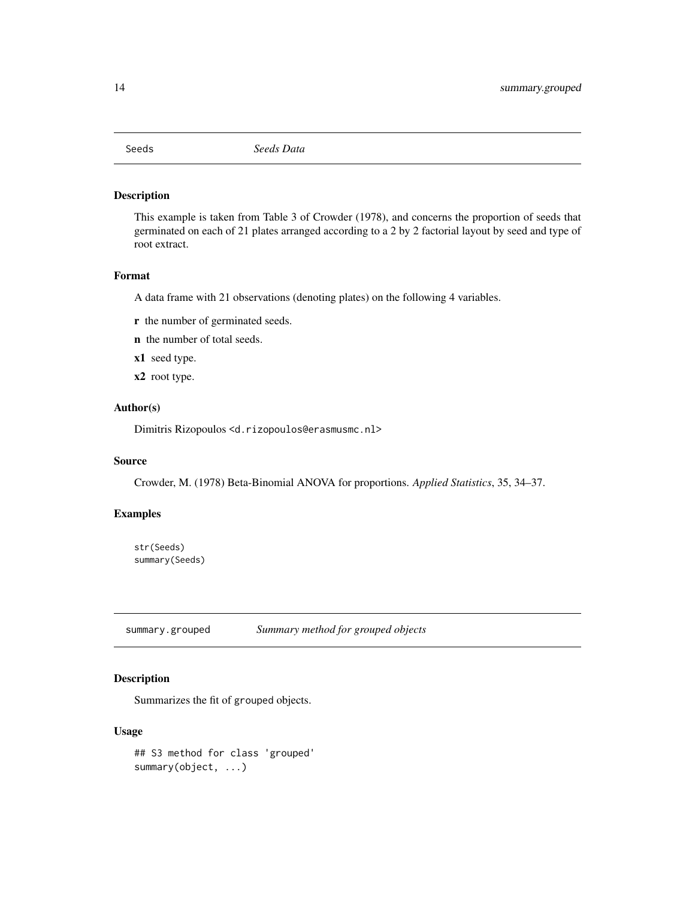<span id="page-13-0"></span>

This example is taken from Table 3 of Crowder (1978), and concerns the proportion of seeds that germinated on each of 21 plates arranged according to a 2 by 2 factorial layout by seed and type of root extract.

#### Format

A data frame with 21 observations (denoting plates) on the following 4 variables.

- r the number of germinated seeds.
- n the number of total seeds.
- x1 seed type.
- x2 root type.

#### Author(s)

Dimitris Rizopoulos <d.rizopoulos@erasmusmc.nl>

#### Source

Crowder, M. (1978) Beta-Binomial ANOVA for proportions. *Applied Statistics*, 35, 34–37.

## Examples

str(Seeds) summary(Seeds)

<span id="page-13-1"></span>summary.grouped *Summary method for grouped objects*

## Description

Summarizes the fit of grouped objects.

## Usage

## S3 method for class 'grouped' summary(object, ...)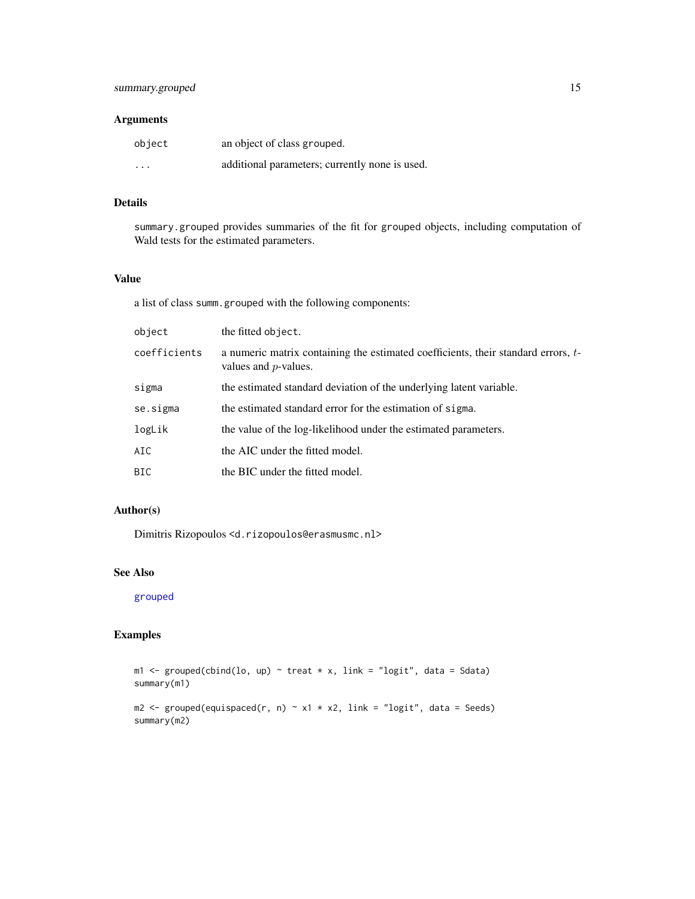## <span id="page-14-0"></span>Arguments

| object  | an object of class grouped.                    |
|---------|------------------------------------------------|
| $\cdot$ | additional parameters; currently none is used. |

## Details

summary.grouped provides summaries of the fit for grouped objects, including computation of Wald tests for the estimated parameters.

## Value

a list of class summ.grouped with the following components:

| object       | the fitted object.                                                                                           |
|--------------|--------------------------------------------------------------------------------------------------------------|
| coefficients | a numeric matrix containing the estimated coefficients, their standard errors, t-<br>values and $p$ -values. |
| sigma        | the estimated standard deviation of the underlying latent variable.                                          |
| se.sigma     | the estimated standard error for the estimation of sigma.                                                    |
| logLik       | the value of the log-likelihood under the estimated parameters.                                              |
| AIC          | the AIC under the fitted model.                                                                              |
| BIC          | the BIC under the fitted model.                                                                              |

## Author(s)

Dimitris Rizopoulos <d.rizopoulos@erasmusmc.nl>

## See Also

[grouped](#page-3-1)

## Examples

 $m1$  <- grouped(cbind(lo, up) ~ treat \* x, link = "logit", data = Sdata) summary(m1)

 $m2 \le$  grouped(equispaced(r, n)  $\sim x1 \times x2$ , link = "logit", data = Seeds) summary(m2)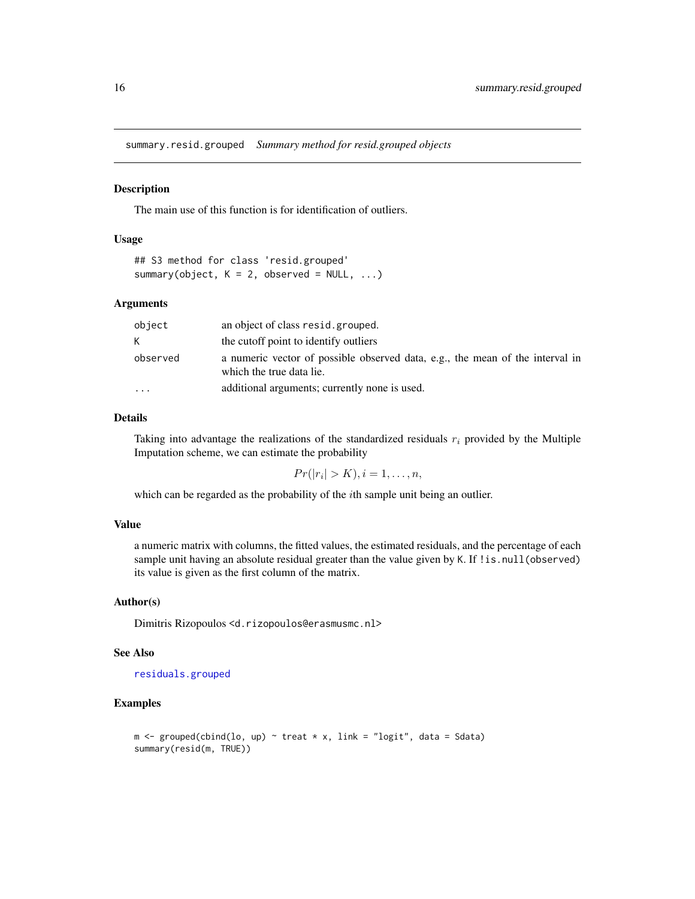<span id="page-15-1"></span><span id="page-15-0"></span>summary.resid.grouped *Summary method for resid.grouped objects*

#### Description

The main use of this function is for identification of outliers.

## Usage

```
## S3 method for class 'resid.grouped'
summary(object, K = 2, observed = NULL, ...)
```
## Arguments

| object   | an object of class resid.grouped.                                                                         |
|----------|-----------------------------------------------------------------------------------------------------------|
| K.       | the cutoff point to identify outliers                                                                     |
| observed | a numeric vector of possible observed data, e.g., the mean of the interval in<br>which the true data lie. |
| $\cdot$  | additional arguments; currently none is used.                                                             |

## Details

Taking into advantage the realizations of the standardized residuals  $r_i$  provided by the Multiple Imputation scheme, we can estimate the probability

 $Pr(|r_i| > K), i = 1, \ldots, n,$ 

which can be regarded as the probability of the *i*th sample unit being an outlier.

## Value

a numeric matrix with columns, the fitted values, the estimated residuals, and the percentage of each sample unit having an absolute residual greater than the value given by K. If ! is. null(observed) its value is given as the first column of the matrix.

#### Author(s)

Dimitris Rizopoulos <d.rizopoulos@erasmusmc.nl>

#### See Also

[residuals.grouped](#page-9-1)

```
m \leq grouped(cbind(lo, up) \sim treat * x, link = "logit", data = Sdata)
summary(resid(m, TRUE))
```